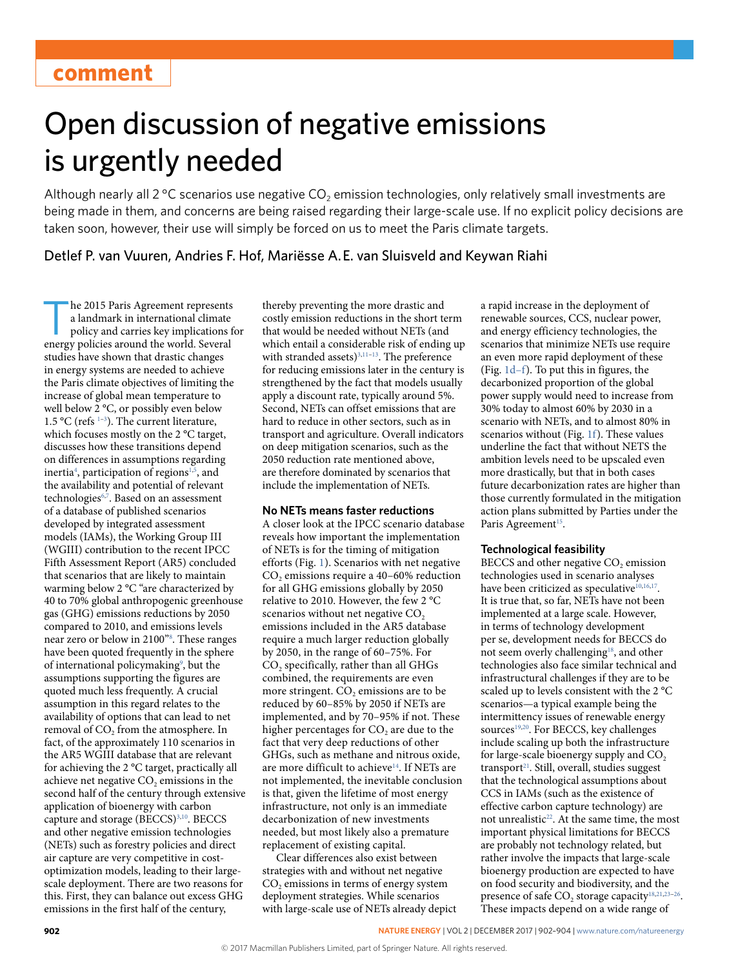# Open discussion of negative emissions is urgently needed

Although nearly all 2 °C scenarios use negative  $CO<sub>2</sub>$  emission technologies, only relatively small investments are being made in them, and concerns are being raised regarding their large-scale use. If no explicit policy decisions are taken soon, however, their use will simply be forced on us to meet the Paris climate targets.

## Detlef P. van Vuuren, Andries F. Hof, Mariësse A. E. van Sluisveld and Keywan Riahi

he 2015 Paris Agreement represents a landmark in international climate policy and carries key implications for energy policies around the world. Several studies have shown that drastic changes in energy systems are needed to achieve the Paris climate objectives of limiting the increase of global mean temperature to well below 2 °C, or possibly even below 1.5 °C (refs  $1-3$  $1-3$ ). The current literature, which focuses mostly on the 2 °C target, discusses how these transitions depend on differences in assumptions regarding inertia<sup>[4](#page-2-2)</sup>, participation of regions<sup>1,[5](#page-2-3)</sup>, and the availability and potential of relevant technologies<sup>[6](#page-2-4),[7](#page-2-5)</sup>. Based on an assessment of a database of published scenarios developed by integrated assessment models (IAMs), the Working Group III (WGIII) contribution to the recent IPCC Fifth Assessment Report (AR5) concluded that scenarios that are likely to maintain warming below 2 °C "are characterized by 40 to 70% global anthropogenic greenhouse gas (GHG) emissions reductions by 2050 compared to 2010, and emissions levels near zero or below in 2100["8](#page-2-6) . These ranges have been quoted frequently in the sphere of international policymaking<sup>[9](#page-2-7)</sup>, but the assumptions supporting the figures are quoted much less frequently. A crucial assumption in this regard relates to the availability of options that can lead to net removal of CO<sub>2</sub> from the atmosphere. In fact, of the approximately 110 scenarios in the AR5 WGIII database that are relevant for achieving the 2 °C target, practically all achieve net negative  $CO<sub>2</sub>$  emissions in the second half of the century through extensive application of bioenergy with carbon capture and storage (BECCS)<sup>3[,10](#page-2-8)</sup>. BECCS and other negative emission technologies (NETs) such as forestry policies and direct air capture are very competitive in costoptimization models, leading to their largescale deployment. There are two reasons for this. First, they can balance out excess GHG emissions in the first half of the century,

thereby preventing the more drastic and costly emission reductions in the short term that would be needed without NETs (and which entail a considerable risk of ending up with stranded assets)<sup>3,[11](#page-2-9)-13</sup>. The preference for reducing emissions later in the century is strengthened by the fact that models usually apply a discount rate, typically around 5%. Second, NETs can offset emissions that are hard to reduce in other sectors, such as in transport and agriculture. Overall indicators on deep mitigation scenarios, such as the 2050 reduction rate mentioned above, are therefore dominated by scenarios that include the implementation of NETs.

## **No NETs means faster reductions**

A closer look at the IPCC scenario database reveals how important the implementation of NETs is for the timing of mitigation efforts (Fig. [1](#page-1-0)). Scenarios with net negative CO<sub>2</sub> emissions require a 40–60% reduction for all GHG emissions globally by 2050 relative to 2010. However, the few 2 °C scenarios without net negative  $CO<sub>2</sub>$ emissions included in the AR5 database require a much larger reduction globally by 2050, in the range of 60–75%. For  $CO<sub>2</sub>$  specifically, rather than all GHGs combined, the requirements are even more stringent.  $CO<sub>2</sub>$  emissions are to be reduced by 60–85% by 2050 if NETs are implemented, and by 70–95% if not. These higher percentages for  $CO<sub>2</sub>$  are due to the fact that very deep reductions of other GHGs, such as methane and nitrous oxide, are more difficult to achieve<sup>14</sup>. If NETs are not implemented, the inevitable conclusion is that, given the lifetime of most energy infrastructure, not only is an immediate decarbonization of new investments needed, but most likely also a premature replacement of existing capital.

Clear differences also exist between strategies with and without net negative CO<sub>2</sub> emissions in terms of energy system deployment strategies. While scenarios with large-scale use of NETs already depict a rapid increase in the deployment of renewable sources, CCS, nuclear power, and energy efficiency technologies, the scenarios that minimize NETs use require an even more rapid deployment of these (Fig. [1d–f\)](#page-1-0). To put this in figures, the decarbonized proportion of the global power supply would need to increase from 30% today to almost 60% by 2030 in a scenario with NETs, and to almost 80% in scenarios without (Fig. [1f\)](#page-1-0). These values underline the fact that without NETS the ambition levels need to be upscaled even more drastically, but that in both cases future decarbonization rates are higher than those currently formulated in the mitigation action plans submitted by Parties under the Paris Agreement<sup>15</sup>.

### **Technological feasibility**

BECCS and other negative CO<sub>2</sub> emission technologies used in scenario analyses have been criticized as speculative $10,16,17$  $10,16,17$  $10,16,17$ . It is true that, so far, NETs have not been implemented at a large scale. However, in terms of technology development per se, development needs for BECCS do not seem overly challenging<sup>18</sup>, and other technologies also face similar technical and infrastructural challenges if they are to be scaled up to levels consistent with the 2 °C scenarios—a typical example being the intermittency issues of renewable energy sources<sup>[19,](#page-2-16)[20](#page-2-17)</sup>. For BECCS, key challenges include scaling up both the infrastructure for large-scale bioenergy supply and  $CO<sub>2</sub>$ transport<sup>21</sup>. Still, overall, studies suggest that the technological assumptions about CCS in IAMs (such as the existence of effective carbon capture technology) are not unrealistic<sup>22</sup>. At the same time, the most important physical limitations for BECCS are probably not technology related, but rather involve the impacts that large-scale bioenergy production are expected to have on food security and biodiversity, and the presence of safe  $CO<sub>2</sub>$  storage capacity<sup>[18](#page-2-15)[,21,](#page-2-18)23-[26](#page-2-21)</sup>. These impacts depend on a wide range of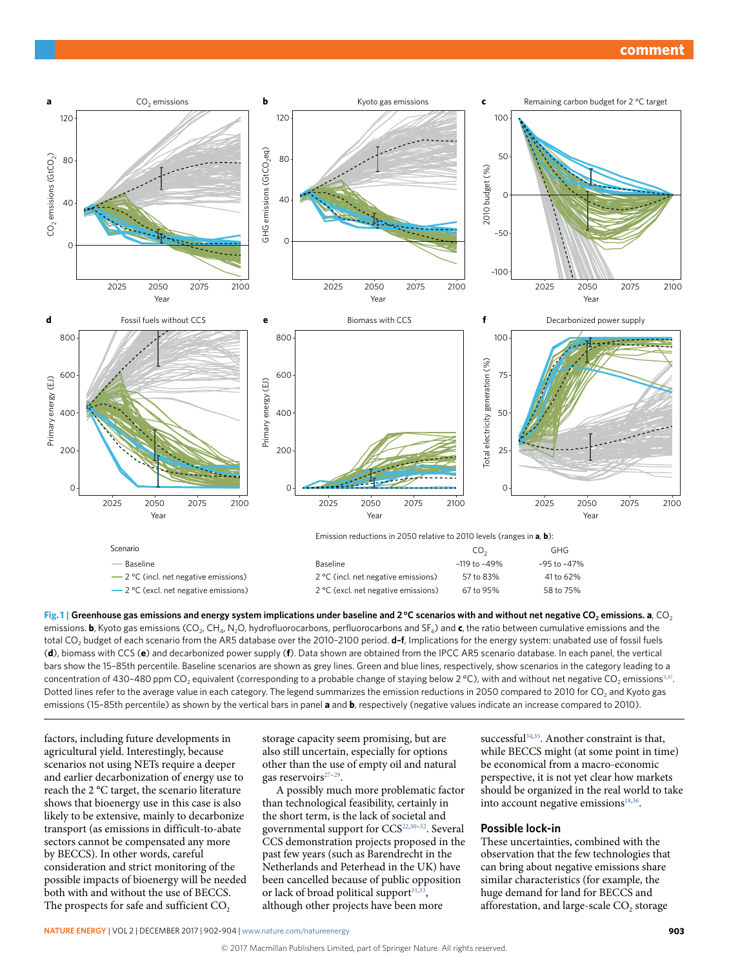

<span id="page-1-0"></span>**Fig. 1** Greenhouse gas emissions and energy system implications under baseline and 2 °C scenarios with and without net negative CO<sub>2</sub> emissions. **a**, CO<sub>2</sub> emissions. **b**, Kyoto gas emissions (CO<sub>2</sub>, CH<sub>4</sub>, N<sub>2</sub>O, hydrofluorocarbons, perfluorocarbons and SF<sub>6</sub>) and **c**, the ratio between cumulative emissions and the total CO2 budget of each scenario from the AR5 database over the 2010–2100 period. **d–f**, Implications for the energy system: unabated use of fossil fuels (**d**), biomass with CCS (**e**) and decarbonized power supply (**f**). Data shown are obtained from the IPCC AR5 scenario database. In each panel, the vertical bars show the 15–85th percentile. Baseline scenarios are shown as grey lines. Green and blue lines, respectively, show scenarios in the category leading to a concentration of 430-480 ppm CO<sub>2</sub> equivalent (corresponding to a probable change of staying below 2 °C), with and without net negative CO<sub>2</sub> emissions<sup>3,41</sup>. Dotted lines refer to the average value in each category. The legend summarizes the emission reductions in 2050 compared to 2010 for CO<sub>2</sub> and Kyoto gas emissions (15–85th percentile) as shown by the vertical bars in panel **a** and **b**, respectively (negative values indicate an increase compared to 2010).

factors, including future developments in agricultural yield. Interestingly, because scenarios not using NETs require a deeper and earlier decarbonization of energy use to reach the 2 °C target, the scenario literature shows that bioenergy use in this case is also likely to be extensive, mainly to decarbonize transport (as emissions in difficult-to-abate sectors cannot be compensated any more by BECCS). In other words, careful consideration and strict monitoring of the possible impacts of bioenergy will be needed both with and without the use of BECCS. The prospects for safe and sufficient  $CO<sub>2</sub>$ 

storage capacity seem promising, but are also still uncertain, especially for options other than the use of empty oil and natural gas reservoirs<sup>[27](#page-2-22)-[29](#page-2-23)</sup>.

A possibly much more problematic factor than technological feasibility, certainly in the short term, is the lack of societal and governmental support for CCS<sup>[22](#page-2-19)[,30](#page-2-24)-32</sup>. Several CCS demonstration projects proposed in the past few years (such as Barendrecht in the Netherlands and Peterhead in the UK) have been cancelled because of public opposition or lack of broad political support $31,33$ , although other projects have been more

successful<sup>[34](#page-2-28),35</sup>. Another constraint is that, while BECCS might (at some point in time) be economical from a macro-economic perspective, it is not yet clear how markets should be organized in the real world to take into account negative emissions $18,36$  $18,36$ .

## **Possible lock-in**

These uncertainties, combined with the observation that the few technologies that can bring about negative emissions share similar characteristics (for example, the huge demand for land for BECCS and afforestation, and large-scale CO<sub>2</sub> storage